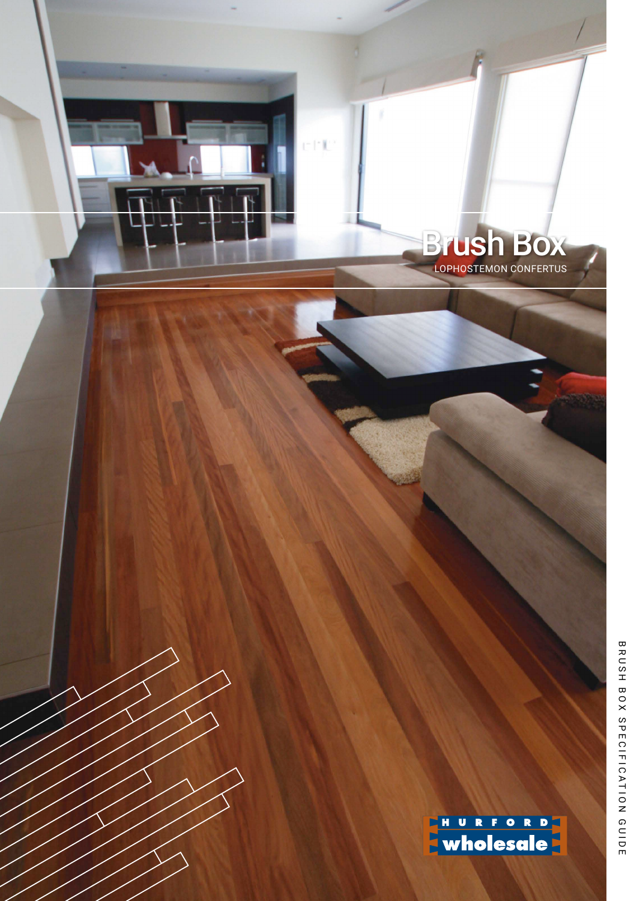# Brush Box LOPHOSTEMON CONFERTUS

ert

ENURFORD